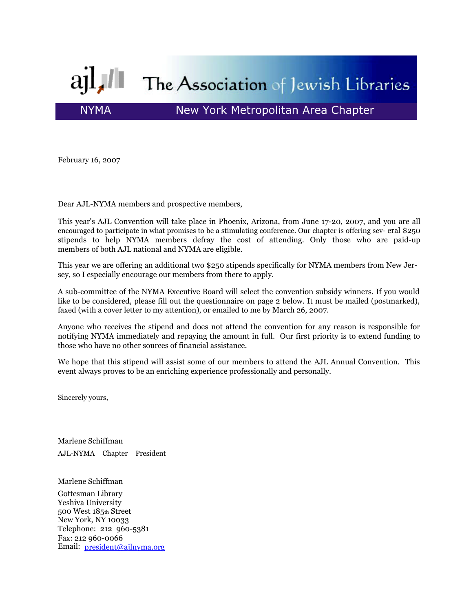

February 16, 2007

Dear AJL-NYMA members and prospective members,

This year's AJL Convention will take place in Phoenix, Arizona, from June 17-20, 2007, and you are all encouraged to participate in what promises to be a stimulating conference. Our chapter is offering sev- eral \$250 stipends to help NYMA members defray the cost of attending. Only those who are paid-up members of both AJL national and NYMA are eligible.

This year we are offering an additional two \$250 stipends specifically for NYMA members from New Jersey, so I especially encourage our members from there to apply.

A sub-committee of the NYMA Executive Board will select the convention subsidy winners. If you would like to be considered, please fill out the questionnaire on page 2 below. It must be mailed (postmarked), faxed (with a cover letter to my attention), or emailed to me by March 26, 2007.

Anyone who receives the stipend and does not attend the convention for any reason is responsible for notifying NYMA immediately and repaying the amount in full. Our first priority is to extend funding to those who have no other sources of financial assistance.

We hope that this stipend will assist some of our members to attend the AJL Annual Convention. This event always proves to be an enriching experience professionally and personally.

Sincerely yours,

Marlene Schiffman AJL-NYMA Chapter President

Marlene Schiffman

Gottesman Library Yeshiva University 500 West 185th Street New York, NY 10033 Telephone: 212 960-5381 Fax: 212 960-0066 Email: president@ajlnyma.org